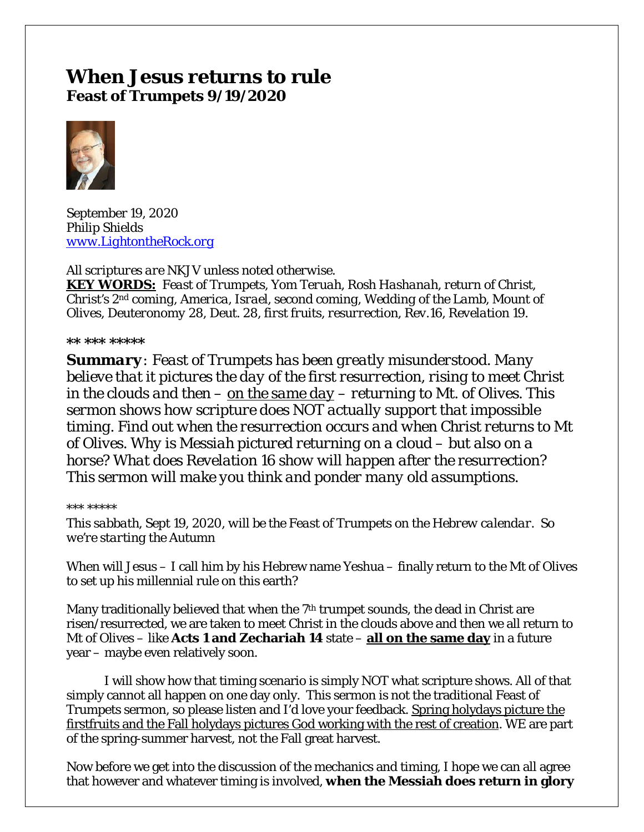# **When Jesus returns to rule Feast of Trumpets 9/19/2020**



September 19, 2020 *Philip Shields [www.LightontheRock.org](http://www.lightontherock.org/)*

*All scriptures are NKJV unless noted otherwise.* 

*KEY WORDS: Feast of Trumpets, Yom Teruah, Rosh Hashanah, return of Christ, Christ's 2nd coming, America, Israel, second coming, Wedding of the Lamb, Mount of Olives, Deuteronomy 28, Deut. 28, first fruits, resurrection, Rev.16, Revelation 19.* 

#### *\*\* \*\*\* \*\*\*\*\**

*Summary: Feast of Trumpets has been greatly misunderstood. Many believe that it pictures the day of the first resurrection, rising to meet Christ in the clouds and then – on the same day – returning to Mt. of Olives. This sermon shows how scripture does NOT actually support that impossible timing. Find out when the resurrection occurs and when Christ returns to Mt of Olives. Why is Messiah pictured returning on a cloud – but also on a horse? What does Revelation 16 show will happen after the resurrection? This sermon will make you think and ponder many old assumptions.* 

#### *\*\*\* \*\*\*\*\**

*This sabbath, Sept 19, 2020, will be the Feast of Trumpets on the Hebrew calendar. So we're starting the Autumn* 

When will Jesus – I call him by his Hebrew name Yeshua – finally return to the Mt of Olives to set up his millennial rule on this earth?

Many traditionally believed that when the  $7<sup>th</sup>$  trumpet sounds, the dead in Christ are risen/resurrected, we are taken to meet Christ in the clouds above and then we all return to Mt of Olives – like **Acts 1 and Zechariah 14** state – **all on the same day** in a future year – maybe even relatively soon.

I will show how that timing scenario is simply NOT what scripture shows. All of that simply cannot all happen on one day only. This sermon is not the traditional Feast of Trumpets sermon, so please listen and I'd love your feedback. Spring holydays picture the firstfruits and the Fall holydays pictures God working with the rest of creation. WE are part of the spring-summer harvest, not the Fall great harvest.

Now before we get into the discussion of the mechanics and timing, I hope we can all agree that however and whatever timing is involved, **when the Messiah does return in glory**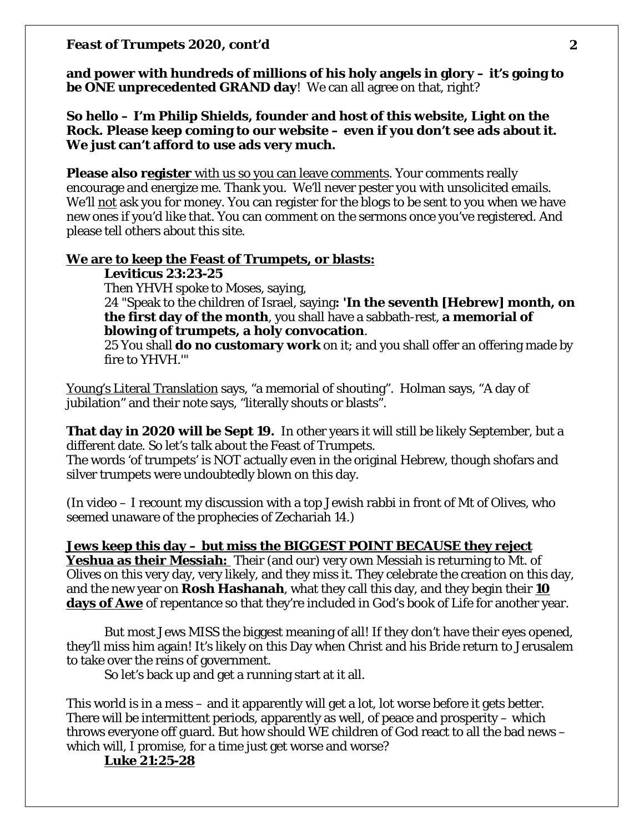**and power with hundreds of millions of his holy angels in glory – it's going to be ONE unprecedented GRAND day**! We can all agree on that, right?

**So hello – I'm Philip Shields, founder and host of this website, Light on the Rock. Please keep coming to our website – even if you don't see ads about it. We just can't afford to use ads very much.** 

**Please also register** with us so you can leave comments. Your comments really encourage and energize me. Thank you. We'll never pester you with unsolicited emails. We'll not ask you for money. You can register for the blogs to be sent to you when we have new ones if you'd like that. You can comment on the sermons once you've registered. And please tell others about this site.

#### **We are to keep the Feast of Trumpets, or blasts:**

**Leviticus 23:23-25**

Then YHVH spoke to Moses, saying,

24 "Speak to the children of Israel, saying**: 'In the seventh [Hebrew] month, on the first day of the month**, you shall have a sabbath-rest, **a memorial of blowing** *of trumpets***, a holy convocation**.

25 You shall **do no customary work** on it; and you shall offer an offering made by fire to YHVH.'"

Young's Literal Translation says, "a memorial of shouting". Holman says, "A day of jubilation" and their note says, "literally shouts or blasts".

**That day in 2020 will be Sept 19.** In other years it will still be likely September, but a different date. So let's talk about the Feast of Trumpets.

The words 'of trumpets' is NOT actually even in the original Hebrew, though shofars and silver trumpets were undoubtedly blown on this day.

(In video – I recount my discussion with a top Jewish rabbi in front of Mt of Olives, who seemed unaware of the prophecies of Zechariah 14.)

### **Jews keep this day – but miss the BIGGEST POINT BECAUSE they reject**

**Yeshua as their Messiah:** Their (and our) very own Messiah is returning to Mt. of Olives on this very day, very likely, and they miss it. They celebrate the creation on this day, and the new year on **Rosh Hashanah**, what they call this day, and they begin their **10 days of Awe** of repentance so that they're included in God's book of Life for another year.

But most Jews MISS the biggest meaning of all! If they don't have their eyes opened, they'll miss him again! It's likely on this Day when Christ and his Bride return to Jerusalem to take over the reins of government.

So let's back up and get a running start at it all.

This world is in a mess – and it apparently will get a lot, lot worse before it gets better. There will be intermittent periods, apparently as well, of peace and prosperity – which throws everyone off guard. But how should WE children of God react to all the bad news – which will, I promise, for a time just get worse and worse?

**Luke 21:25-28**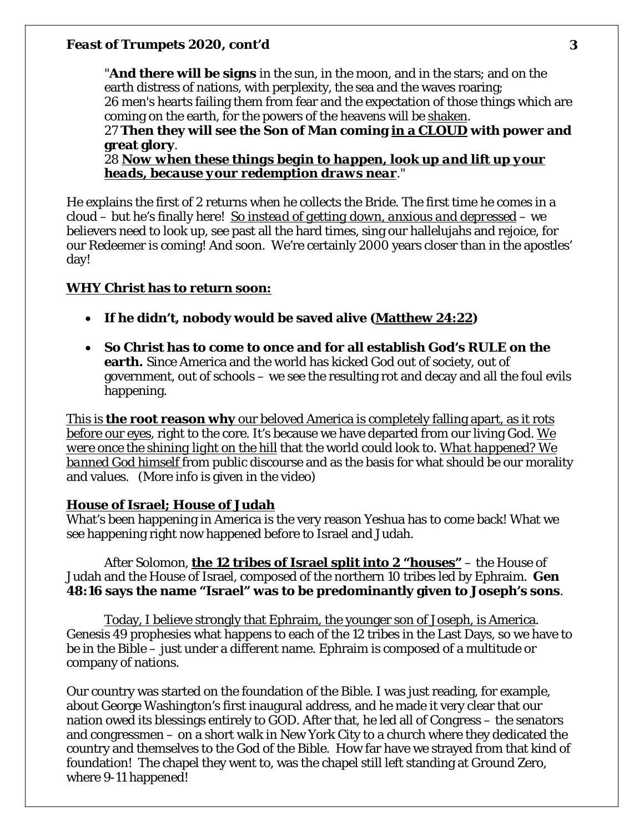"**And there will be signs** in the sun, in the moon, and in the stars; and on the earth distress of nations, with perplexity, the sea and the waves roaring; 26 men's hearts failing them from fear and the expectation of those things which are coming on the earth, for the powers of the heavens will be shaken. 27 **Then they will see the Son of Man coming in a CLOUD with power and** 

**great glory**. 28 *Now when these things begin to happen, look up and lift up your* 

*heads, because your redemption draws near*."

He explains the first of 2 returns when he collects the Bride. The first time he comes in a cloud – but he's finally here! *So instead of getting down, anxious and depressed* – we believers need to look up, see past all the hard times, sing our hallelujahs and rejoice, for our Redeemer is coming! And soon. We're certainly 2000 years closer than in the apostles' day!

## **WHY Christ has to return soon:**

- **If he didn't, nobody would be saved alive (Matthew 24:22)**
- **So Christ has to come to once and for all establish God's RULE on the earth.** Since America and the world has kicked God out of society, out of government, out of schools – we see the resulting rot and decay and all the foul evils happening.

This is **the root reason why** our beloved America is completely falling apart, as it rots before our eyes, right to the core. It's because we have departed from our living God. *We were once the shining light on the hill* that the world could look to. *What happened? We banned God himself* from public discourse and as the basis for what should be our morality and values. (More info is given in the video)

### **House of Israel; House of Judah**

What's been happening in America is the very reason Yeshua has to come back! What we see happening right now happened before to Israel and Judah.

After Solomon, **the 12 tribes of Israel split into 2 "houses"** – the House of Judah and the House of Israel, composed of the northern 10 tribes led by Ephraim. **Gen 48:16 says the name "Israel" was to be predominantly given to Joseph's sons**.

Today, I believe strongly that Ephraim, the younger son of Joseph, is America. Genesis 49 prophesies what happens to each of the 12 tribes in the Last Days, so we have to be in the Bible – just under a different name. Ephraim is composed of a multitude or company of nations.

Our country was started on the foundation of the Bible. I was just reading, for example, about George Washington's first inaugural address, and he made it very clear that our nation owed its blessings entirely to GOD. After that, he led all of Congress – the senators and congressmen – on a short walk in New York City to a church where they dedicated the country and themselves to the God of the Bible. How far have we strayed from that kind of foundation! The chapel they went to, was the chapel still left standing at Ground Zero, where 9-11 happened!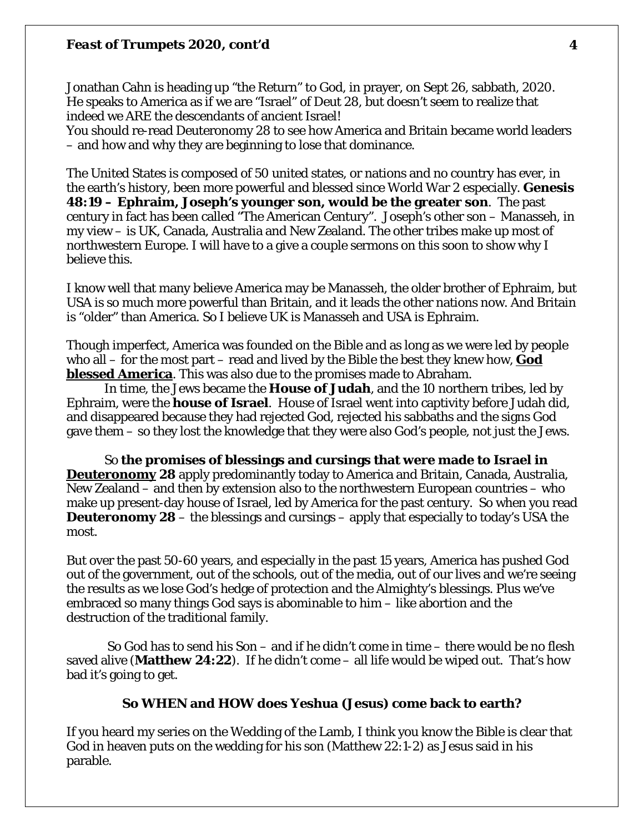Jonathan Cahn is heading up "the Return" to God, in prayer, on Sept 26, sabbath, 2020. He speaks to America as if we are "Israel" of Deut 28, but doesn't seem to realize that indeed we ARE the descendants of ancient Israel!

You should re-read Deuteronomy 28 to see how America and Britain became world leaders – and how and why they are beginning to lose that dominance.

The United States is composed of 50 united states, or nations and no country has ever, in the earth's history, been more powerful and blessed since World War 2 especially. **Genesis 48:19 – Ephraim, Joseph's younger son, would be the greater son**. The past century in fact has been called "The American Century". Joseph's other son – Manasseh, in my view – is UK, Canada, Australia and New Zealand. The other tribes make up most of northwestern Europe. I will have to a give a couple sermons on this soon to show why I believe this.

I know well that many believe America may be Manasseh, the older brother of Ephraim, but USA is so much more powerful than Britain, and it leads the other nations now. And Britain is "older" than America. So I believe UK is Manasseh and USA is Ephraim.

Though imperfect, America was founded on the Bible and as long as we were led by people who all – for the most part – read and lived by the Bible the best they knew how, **God blessed America**. This was also due to the promises made to Abraham.

In time, the Jews became the **House of Judah**, and the 10 northern tribes, led by Ephraim, were the **house of Israel**. House of Israel went into captivity before Judah did, and disappeared because they had rejected God, rejected his sabbaths and the signs God gave them – so they lost the knowledge that they were also God's people, not just the Jews.

So **the promises of blessings and cursings that were made to Israel in Deuteronomy 28** apply predominantly today to America and Britain, Canada, Australia, New Zealand – and then by extension also to the northwestern European countries – who make up present-day house of Israel, led by America for the past century. So when you read **Deuteronomy 28** – the blessings and cursings – apply that especially to today's USA the most.

But over the past 50-60 years, and especially in the past 15 years, America has pushed God out of the government, out of the schools, out of the media, out of our lives and we're seeing the results as we lose God's hedge of protection and the Almighty's blessings. Plus we've embraced so many things God says is abominable to him – like abortion and the destruction of the traditional family.

So God has to send his Son – and if he didn't come in time – there would be no flesh saved alive (**Matthew 24:22**). If he didn't come – all life would be wiped out. That's how bad it's going to get.

#### **So WHEN and HOW does Yeshua (Jesus) come back to earth?**

If you heard my series on the Wedding of the Lamb, I think you know the Bible is clear that God in heaven puts on the wedding for his son (Matthew 22:1-2) as Jesus said in his parable.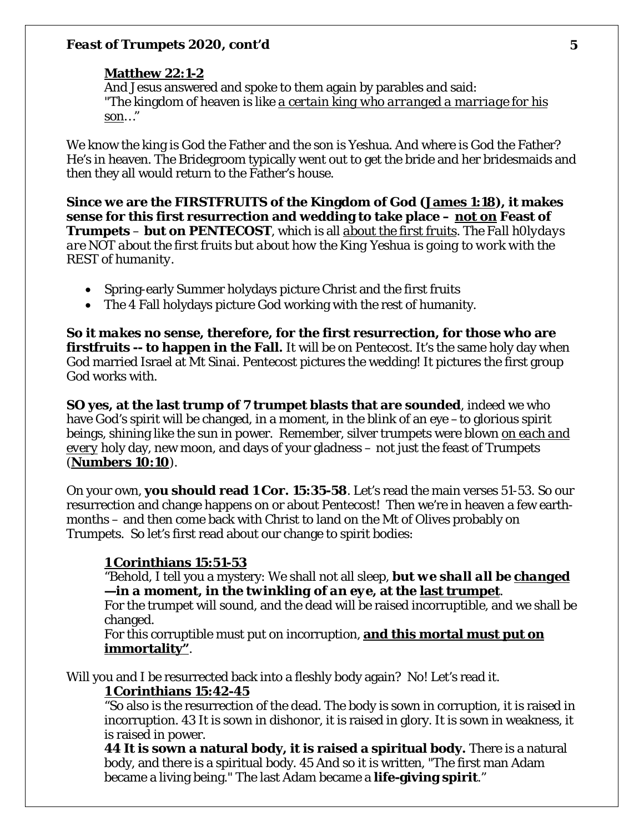#### **Matthew 22:1-2**

And Jesus answered and spoke to them again by parables and said: "The kingdom of heaven is like *a certain king who arranged a marriage for his son*…"

We know the king is God the Father and the son is Yeshua. And where is God the Father? He's in heaven. The Bridegroom typically went out to get the bride and her bridesmaids and then they all would return to the Father's house.

**Since we are the FIRSTFRUITS of the Kingdom of God (James 1:18), it makes sense for this first resurrection and wedding to take place –** *not on* **Feast of Trumpets** – **but on PENTECOST**, which is all *about the first fruits*. *The Fall h0lydays are NOT about the first fruits but about how the King Yeshua is going to work with the REST of humanity.* 

- Spring-early Summer holydays picture Christ and the first fruits
- The 4 Fall holydays picture God working with the rest of humanity.

**So it** *makes no sense, therefore,* **for the first resurrection, for those who are firstfruits -- to happen in the Fall.** It will be on Pentecost. It's the same holy day when God married Israel at Mt Sinai. Pentecost pictures the wedding! It pictures the first group God works with.

**SO yes, at the last trump of 7 trumpet blasts that are sounded**, indeed we who have God's spirit will be changed, in a moment, in the blink of an eye –to glorious spirit beings, shining like the sun in power. Remember, silver trumpets were blown *on each and every* holy day, new moon, and days of your gladness – not just the feast of Trumpets (**Numbers 10:10**).

On your own, **you should read 1 Cor. 15:35-58**. Let's read the main verses 51-53. So our resurrection and change happens on or about Pentecost! Then we're in heaven a few earthmonths – and then come back with Christ to land on the Mt of Olives probably on Trumpets. So let's first read about our change to spirit bodies:

# **1 Corinthians 15:51-53**

"Behold, I tell you a mystery: We shall not all sleep, *but we shall all be changed —in a moment, in the twinkling of an eye***, at the last trumpet**.

For the trumpet will sound, and the dead will be raised incorruptible, and we shall be changed.

For this corruptible must put on incorruption, **and this mortal must put on immortality"**.

Will you and I be resurrected back into a fleshly body again? No! Let's read it.

### **1 Corinthians 15:42-45**

"So also is the resurrection of the dead. The body is sown in corruption, it is raised in incorruption. 43 It is sown in dishonor, it is raised in glory. It is sown in weakness, it is raised in power.

**44 It is sown a natural body, it is raised a spiritual body.** There is a natural body, and there is a spiritual body. 45 And so it is written, "The first man Adam became a living being." The last Adam became a **life-giving spirit**."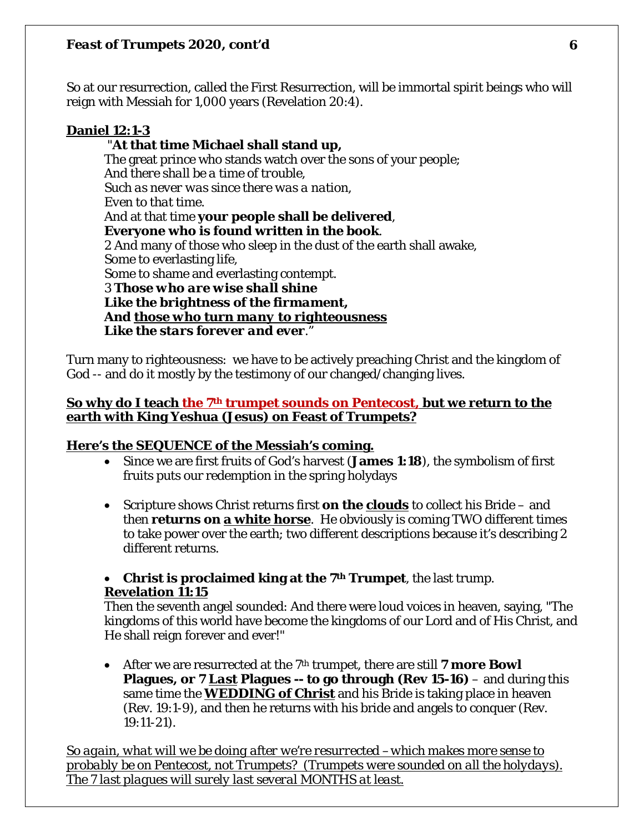So at our resurrection, called the First Resurrection, will be immortal spirit beings who will reign with Messiah for 1,000 years (Revelation 20:4).

# **Daniel 12:1-3**

# "**At that time Michael shall stand up,**

The great prince who stands watch over the sons of your people; *And there shall be a time of trouble, Such as never was since there was a nation, Even to that time*. And at that time **your people shall be delivered**, **Everyone who is found written in the book**. 2 And many of those who sleep in the dust of the earth shall awake, Some to everlasting life, Some to shame and everlasting contempt. 3 *Those who are wise shall shine Like the brightness of the firmament, And those who turn many to righteousness Like the stars forever and ever*."

Turn many to righteousness: we have to be actively preaching Christ and the kingdom of God -- and do it mostly by the testimony of our changed/changing lives.

# **So why do I teach the 7th trumpet sounds on** *Pentecost,* **but we return to the earth with King Yeshua (Jesus) on Feast of Trumpets?**

# **Here's the SEQUENCE of the Messiah's coming.**

- Since we are first fruits of God's harvest (**James 1:18**), the symbolism of first fruits puts our redemption in the spring holydays
- Scripture shows Christ returns first **on the clouds** to collect his Bride and then **returns on a white horse**. He obviously is coming TWO different times to take power over the earth; two different descriptions because it's describing 2 different returns.

# • **Christ is proclaimed king at the 7th Trumpet**, the last trump. **Revelation 11:15**

Then the seventh angel sounded: And there were loud voices in heaven, saying, "The kingdoms of this world have become the kingdoms of our Lord and of His Christ, and He shall reign forever and ever!"

• After we are resurrected at the 7<sup>th</sup> trumpet, there are still **7 more Bowl Plagues, or 7** *Last* **Plagues -- to go through (Rev 15-16)** – and during this same time the **WEDDING of Christ** and his Bride is taking place in heaven (Rev. 19:1-9), and then he returns with his bride and angels to conquer (Rev. 19:11-21).

*So again, what will we be doing after we're resurrected –which makes more sense to probably be on Pentecost, not Trumpets? (Trumpets were sounded on all the holydays). The 7 last plagues will surely last several MONTHS at least.*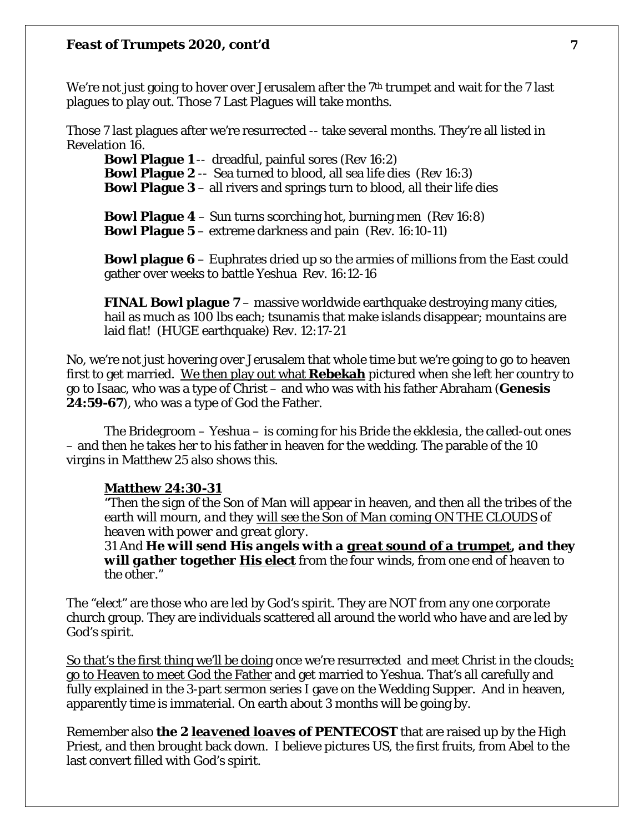We're not just going to hover over Jerusalem after the  $7<sup>th</sup>$  trumpet and wait for the 7 last plagues to play out. Those 7 Last Plagues will take months.

Those 7 last plagues after we're resurrected -- take several months. They're all listed in Revelation 16.

**Bowl Plague 1** -- dreadful, painful sores (Rev 16:2) **Bowl Plague 2** -- Sea turned to blood, all sea life dies (Rev 16:3) **Bowl Plague 3** – all rivers and springs turn to blood, all their life dies

**Bowl Plague 4** – Sun turns scorching hot, burning men (Rev 16:8) **Bowl Plague 5** – extreme darkness and pain (Rev. 16:10-11)

**Bowl plague 6** – Euphrates dried up so the armies of millions from the East could gather over weeks to battle Yeshua Rev. 16:12-16

**FINAL Bowl plague 7** – massive worldwide earthquake destroying many cities, hail as much as 100 lbs each; tsunamis that make islands disappear; mountains are laid flat! (HUGE earthquake) Rev. 12:17-21

No, we're not just hovering over Jerusalem that whole time but we're going to go to heaven first to get married. We then play out what **Rebekah** pictured when she left her country to go to Isaac, who was a type of Christ – and who was with his father Abraham (**Genesis 24:59-67**), who was a type of God the Father.

The Bridegroom – Yeshua – is coming for his Bride the *ekklesia*, the called-out ones – and then he takes her to his father in heaven for the wedding. The parable of the 10 virgins in Matthew 25 also shows this.

#### **Matthew 24:30-31**

"Then the sign of the Son of Man will appear in heaven, and then all the tribes of the earth will mourn, *and they will see the Son of Man coming ON THE CLOUDS of heaven with power and great glory.*

31 And *He will send His angels with a great sound of a trumpet, and they will gather together* **His elect** *from the four winds, from one end of heaven to the other*."

The "elect" are those who are led by God's spirit. They are NOT from any one corporate church group. They are individuals scattered all around the world who have and are led by God's spirit.

So that's the first thing we'll be doing once we're resurrected and meet Christ in the clouds: go to Heaven to meet God the Father and get married to Yeshua. That's all carefully and fully explained in the 3-part sermon series I gave on the Wedding Supper. And in heaven, apparently time is immaterial. On earth about 3 months will be going by.

Remember also **the 2** *leavened loaves* **of PENTECOST** that are raised up by the High Priest, and then brought back down. I believe pictures US, the first fruits, from Abel to the last convert filled with God's spirit.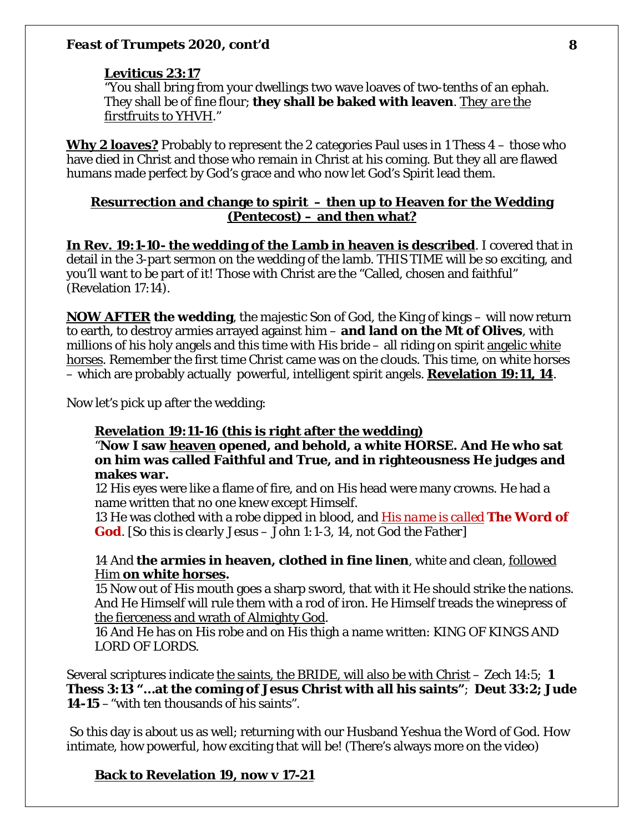### **Leviticus 23:17**

"You shall bring from your dwellings two wave loaves of two-tenths of an ephah. They shall be of fine flour; **they shall be baked with leaven**. *They are the firstfruits to YHVH*."

**Why 2 loaves?** Probably to represent the 2 categories Paul uses in 1 Thess 4 – those who have died in Christ and those who remain in Christ at his coming. But they all are flawed humans made perfect by God's grace and who now let God's Spirit lead them.

### **Resurrection and change to spirit – then up to Heaven for the Wedding (Pentecost) – and then what?**

**In Rev. 19:1-10- the wedding of the Lamb in heaven is described**. I covered that in detail in the 3-part sermon on the wedding of the lamb. THIS TIME will be so exciting, and you'll want to be part of it! Those with Christ are the "Called, chosen and faithful" (Revelation 17:14).

*NOW AFTER* **the wedding**, the majestic Son of God, the King of kings – will now return to earth, to destroy armies arrayed against him – **and land on the Mt of Olives**, with millions of his holy angels and this time with His bride – all riding on spirit angelic white horses. Remember the first time Christ came was on the clouds. This time, on white horses – which are probably actually powerful, intelligent spirit angels. **Revelation 19:11, 14**.

Now let's pick up after the wedding:

### **Revelation 19:11-16 (this is right after the wedding)**

"**Now I saw heaven opened, and behold, a white HORSE. And He who sat on him was called Faithful and True, and in righteousness He judges and makes war.** 

12 His eyes were like a flame of fire, and on His head were many crowns. He had a name written that no one knew except Himself.

13 He was clothed with a robe dipped in blood, and *His name is called* **The Word of God**. *[So this is clearly Jesus – John 1:1-3, 14, not God the Father]*

## 14 And **the armies in heaven, clothed in fine linen**, white and clean, followed Him **on white horses.**

15 Now out of His mouth goes a sharp sword, that with it He should strike the nations. And He Himself will rule them with a rod of iron. He Himself treads the winepress of the fierceness and wrath of Almighty God.

16 And He has on His robe and on His thigh a name written: KING OF KINGS AND LORD OF LORDS.

Several scriptures indicate the saints, the BRIDE, will also be with Christ – Zech 14:5; **1 Thess 3:13 "…at the coming of Jesus Christ with all his saints"**; **Deut 33:2; Jude 14-15** –"with ten thousands of his saints".

So this day is about us as well; returning with our Husband Yeshua the Word of God. How intimate, how powerful, how exciting that will be! (There's always more on the video)

# **Back to Revelation 19, now v 17-21**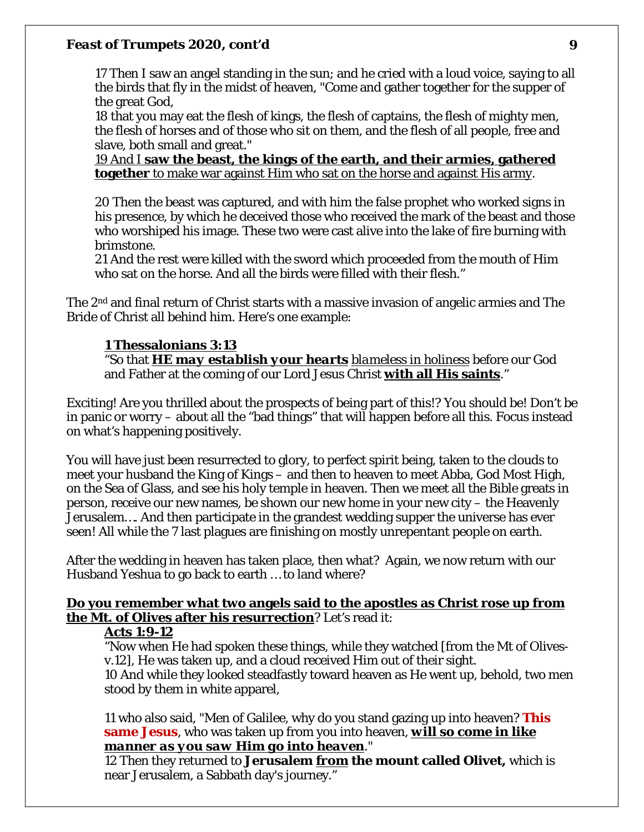17 Then I saw an angel standing in the sun; and he cried with a loud voice, saying to all the birds that fly in the midst of heaven, "Come and gather together for the supper of the great God,

18 that you may eat the flesh of kings, the flesh of captains, the flesh of mighty men, the flesh of horses and of those who sit on them, and the flesh of all people, free and slave, both small and great."

19 And I **saw the beast, the kings of the earth, and their armies, gathered together** to make war against Him who sat on the horse and against His army.

20 Then the beast was captured, and with him the false prophet who worked signs in his presence, by which he deceived those who received the mark of the beast and those who worshiped his image. These two were cast alive into the lake of fire burning with brimstone.

21 And the rest were killed with the sword which proceeded from the mouth of Him who sat on the horse. And all the birds were filled with their flesh."

The 2nd and final return of Christ starts with a massive invasion of angelic armies and The Bride of Christ all behind him. Here's one example:

# **1 Thessalonians 3:13**

"So that *HE may establish your hearts blameless in holiness* before our God and Father at the coming of our Lord Jesus Christ **with all His saints**."

Exciting! Are you thrilled about the prospects of being part of this!? You should be! Don't be in panic or worry – about all the "bad things" that will happen before all this. Focus instead on what's happening positively.

You will have just been resurrected to glory, to perfect spirit being, taken to the clouds to meet your husband the King of Kings – and then to heaven to meet Abba, God Most High, on the Sea of Glass, and see his holy temple in heaven. Then we meet all the Bible greats in person, receive our new names, be shown our new home in your new city – the Heavenly Jerusalem…. And then participate in the grandest wedding supper the universe has ever seen! All while the 7 last plagues are finishing on mostly unrepentant people on earth.

After the wedding in heaven has taken place, then what? Again, we now return with our Husband Yeshua to go back to earth … to land where?

# **Do you remember what two angels said to the apostles as Christ rose up from the Mt. of Olives after his resurrection**? Let's read it:

### **Acts 1:9-12**

"Now when He had spoken these things, while they watched [from the Mt of Olivesv.12], He was taken up, and a cloud received Him out of their sight. 10 And while they looked steadfastly toward heaven as He went up, behold, two men stood by them in white apparel,

11 who also said, "Men of Galilee, why do you stand gazing up into heaven? **This same Jesus**, who was taken up from you into heaven, *will so come in like manner as you saw Him go into heaven*."

12 Then they returned to **Jerusalem** *from* **the mount called Olivet,** which is near Jerusalem, a Sabbath day's journey."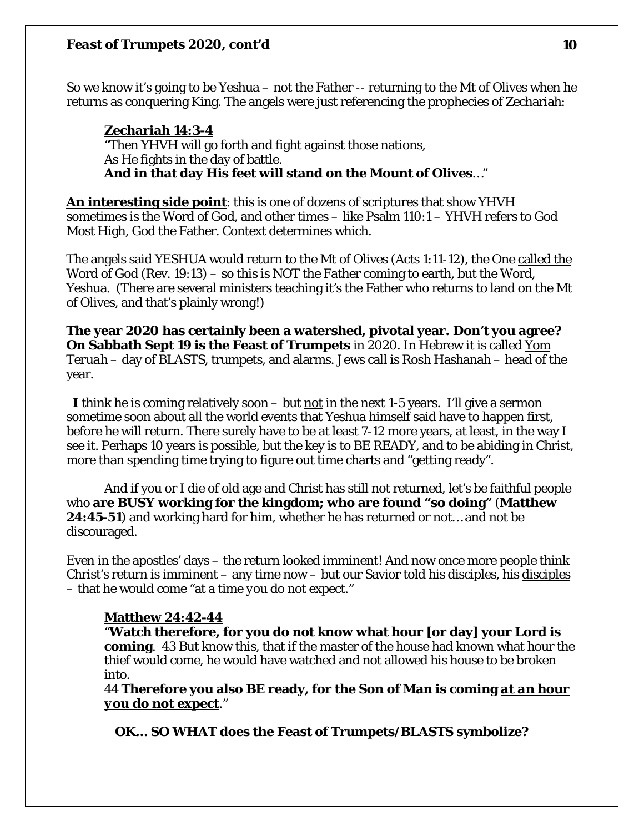So we know it's going to be Yeshua – not the Father -- returning to the Mt of Olives when he returns as conquering King. The angels were just referencing the prophecies of Zechariah:

# **Zechariah 14:3-4**

"Then YHVH will go forth and fight against those nations, As He fights in the day of battle. **And in that day His feet will stand on the Mount of Olives**…"

**An interesting side point**: this is one of dozens of scriptures that show YHVH sometimes is the Word of God, and other times – like Psalm 110:1 – YHVH refers to God Most High, God the Father. Context determines which.

The angels said YESHUA would return to the Mt of Olives (Acts 1:11-12), the One called the Word of God (Rev. 19:13) – so this is NOT the Father coming to earth, but the Word, Yeshua. (There are several ministers teaching it's the Father who returns to land on the Mt of Olives, and that's plainly wrong!)

**The year 2020 has certainly been a watershed, pivotal year. Don't you agree? On Sabbath Sept 19 is the Feast of Trumpets** in 2020. In Hebrew it is called *Yom Teruah* – day of BLASTS, trumpets, and alarms. Jews call is Rosh Hashanah – head of the year.

 *I* think he is coming relatively soon – but *not* in the next 1-5 years. I'll give a sermon sometime soon about all the world events that Yeshua himself said have to happen first, before he will return. There surely have to be at least 7-12 more years, at least, in the way I see it. Perhaps 10 years is possible, but the key is to BE READY, and to be abiding in Christ, more than spending time trying to figure out time charts and "getting ready".

And if you or I die of old age and Christ has still not returned, let's be faithful people who **are BUSY working for the kingdom; who are found "so doing"** (**Matthew 24:45-51**) and working hard for him, whether he has returned or not… and not be discouraged.

Even in the apostles' days – the return looked imminent! And now once more people think Christ's return is imminent – any time now – but our Savior told his disciples, his *disciples* – that he would come "at a time *you* do not expect."

# **Matthew 24:42-44**

"**Watch therefore, for you do not know what hour [or day] your Lord is coming**. 43 But know this, that if the master of the house had known what hour the thief would come, he would have watched and not allowed his house to be broken into.

44 **Therefore you also BE ready, for the Son of Man is coming** *at an hour you do not expect*."

**OK… SO WHAT does the Feast of Trumpets/BLASTS symbolize?**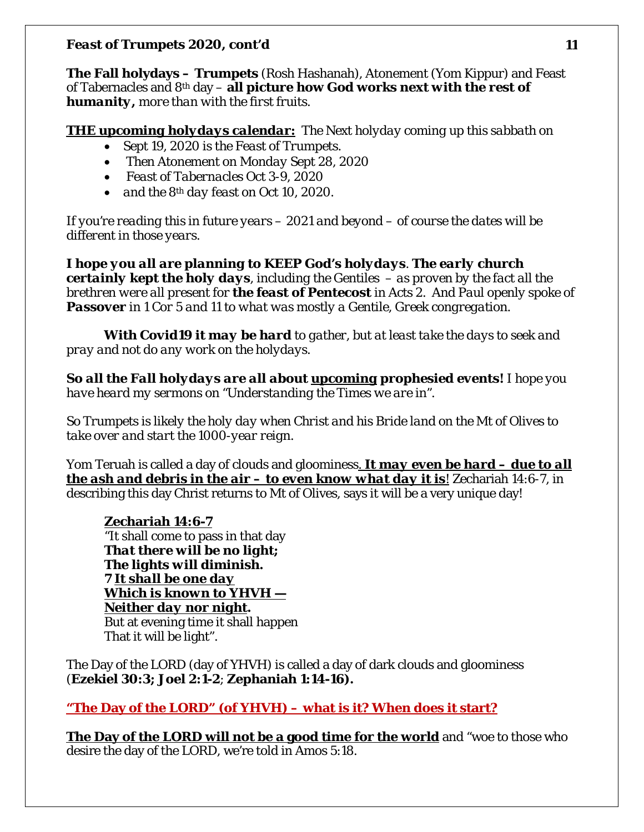**The Fall holydays – Trumpets** (Rosh Hashanah), Atonement (Yom Kippur) and Feast of Tabernacles and 8th day – **all picture how God works next** *with the rest of humanity, more than with the first fruits.* 

*THE upcoming holydays calendar: The Next holyday coming up this sabbath on* 

- *Sept 19, 2020 is the Feast of Trumpets.*
- *Then Atonement on Monday Sept 28, 2020*
- *Feast of Tabernacles Oct 3-9, 2020*
- *and the 8th day feast on Oct 10, 2020.*

*If you're reading this in future years – 2021 and beyond – of course the dates will be different in those years.* 

*I hope you all are planning to KEEP God's holydays. The early church certainly kept the holy days, including the Gentiles – as proven by the fact all the brethren were all present for the feast of Pentecost in Acts 2. And Paul openly spoke of Passover in 1 Cor 5 and 11 to what was mostly a Gentile, Greek congregation.* 

*With Covid19 it may be hard to gather, but at least take the days to seek and pray and not do any work on the holydays.* 

*So all the Fall holydays are all about upcoming prophesied events! I hope you have heard my sermons on "Understanding the Times we are in".* 

*So Trumpets is likely the holy day when Christ and his Bride land on the Mt of Olives to take over and start the 1000-year reign.* 

Yom Teruah is called a day of clouds and gloominess*. It may even be hard – due to all the ash and debris in the air – to even know what day it is!* Zechariah 14:6-7, in describing this day Christ returns to Mt of Olives, says it will be a very unique day!

**Zechariah 14:6-7** "It shall come to pass in that day *That there will be no light; The lights will diminish. 7 It shall be one day Which is known to YHVH — Neither day nor night.* But at evening time it shall happen That it will be light".

The Day of the LORD (day of YHVH) is called a day of dark clouds and gloominess (**Ezekiel 30:3; Joel 2:1-2**; **Zephaniah 1:14-16).** 

**"The Day of the LORD" (of YHVH) – what is it? When does it start?** 

**The Day of the LORD will not be a good time for the world** and "woe to those who desire the day of the LORD, we're told in Amos 5:18.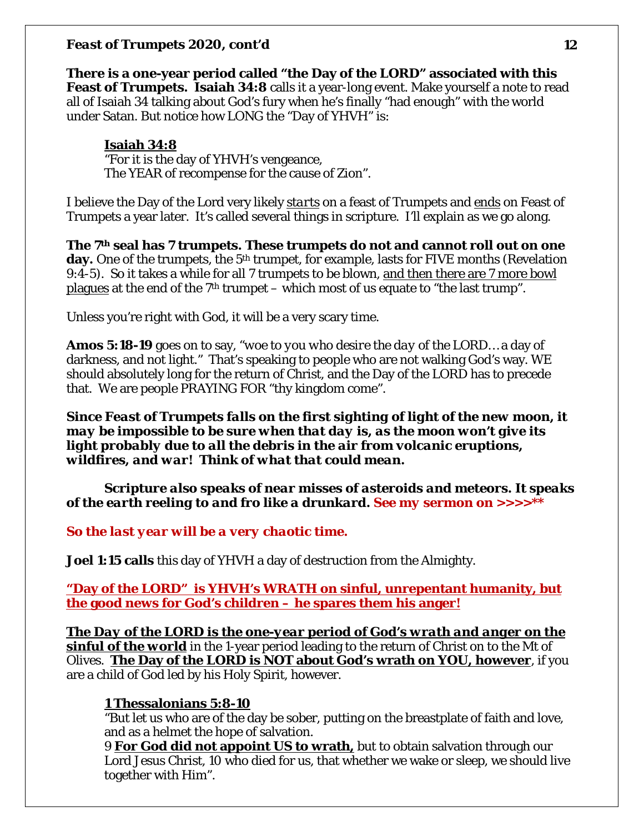**There is a one-year period called "the Day of the LORD" associated with this Feast of Trumpets. Isaiah 34:8** calls it a year-long event. Make yourself a note to read all of Isaiah 34 talking about God's fury when he's finally "had enough" with the world under Satan. But notice how LONG the "Day of YHVH" is:

# **Isaiah 34:8**

"For it is the day of YHVH's vengeance, The YEAR of recompense for the cause of Zion".

I believe the Day of the Lord very likely *starts* on a feast of Trumpets and *ends* on Feast of Trumpets a year later. It's called several things in scripture. I'll explain as we go along.

**The 7th seal has 7 trumpets. These trumpets do not and cannot roll out on one**  day. One of the trumpets, the 5<sup>th</sup> trumpet, for example, lasts for FIVE months (Revelation 9:4-5). So it takes a while for all 7 trumpets to be blown, and then there are 7 more bowl <u>plagues</u> at the end of the  $7<sup>th</sup>$  trumpet – which most of us equate to "the last trump".

Unless you're right with God, it will be a very scary time.

**Amos 5:18-19** goes on to say, *"woe to you who desire the day of the LORD…* a day of darkness, and not light." That's speaking to people who are not walking God's way. WE should absolutely long for the return of Christ, and the Day of the LORD has to precede that. We are people PRAYING FOR "thy kingdom come".

*Since Feast of Trumpets falls on the first sighting of light of the new moon, it may be impossible to be sure when that day is, as the moon won't give its light probably due to all the debris in the air from volcanic eruptions, wildfires, and war! Think of what that could mean.* 

*Scripture also speaks of near misses of asteroids and meteors. It speaks of the earth reeling to and fro like a drunkard. See my sermon on >>>>\*\**

*So the last year will be a very chaotic time.* 

**Joel 1:15 calls** this day of YHVH a day of destruction from the Almighty.

**"Day of the LORD" is YHVH's WRATH on sinful, unrepentant humanity, but the good news for God's children – he spares them his anger!**

*The Day of the LORD is the one-year period of God's wrath and anger on the sinful of the world* in the 1-year period leading to the return of Christ on to the Mt of Olives. **The Day of the LORD is NOT about God's wrath on YOU, however**, if you are a child of God led by his Holy Spirit, however.

# **1 Thessalonians 5:8-10**

"But let us who are of the day be sober, putting on the breastplate of faith and love, and as a helmet the hope of salvation.

9 **For God did not appoint US to wrath,** but to obtain salvation through our Lord Jesus Christ, 10 who died for us, that whether we wake or sleep, we should live together with Him".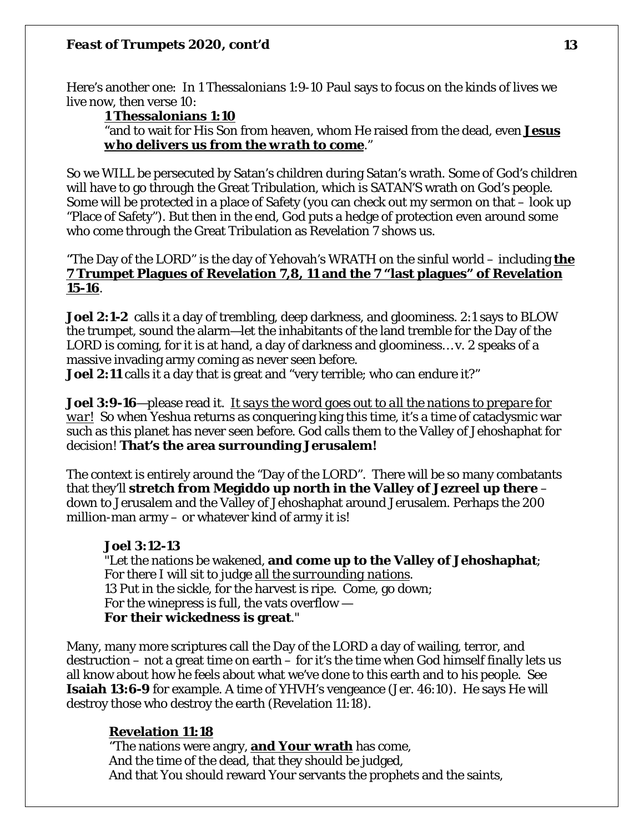Here's another one: In 1 Thessalonians 1:9-10 Paul says to focus on the kinds of lives we live now, then verse 10:

# **1 Thessalonians 1:10**

"and to wait for His Son from heaven, whom He raised from the dead, even *Jesus who delivers us from the wrath to come*."

So we WILL be persecuted by Satan's children during Satan's wrath. Some of God's children will have to go through the Great Tribulation, which is SATAN'S wrath on God's people. Some will be protected in a place of Safety (you can check out my sermon on that – look up "Place of Safety"). But then in the end, God puts a hedge of protection even around some who come through the Great Tribulation as Revelation 7 shows us.

# "The Day of the LORD" is the day of Yehovah's WRATH on the sinful world – including **the 7 Trumpet Plagues of Revelation 7,8, 11 and the 7 "last plagues" of Revelation 15-16**.

**Joel 2:1-2** calls it a day of trembling, deep darkness, and gloominess. 2:1 says to BLOW the trumpet, sound the alarm—let the inhabitants of the land tremble for the Day of the LORD is coming, for it is at hand, a day of darkness and gloominess… v. 2 speaks of a massive invading army coming as never seen before.

**Joel 2:11** calls it a day that is great and "very terrible; who can endure it?"

**Joel 3:9-16**—please read it. *It says the word goes out to all the nations to prepare for war!* So when Yeshua returns as conquering king this time, it's a time of cataclysmic war such as this planet has never seen before. God calls them to the Valley of Jehoshaphat for decision! **That's the area surrounding Jerusalem!** 

The context is entirely around the "Day of the LORD". There will be so many combatants that they'll **stretch from Megiddo up north in the Valley of Jezreel up there** – down to Jerusalem and the Valley of Jehoshaphat around Jerusalem. Perhaps the 200 million-man army – or whatever kind of army it is!

# **Joel 3:12-13**

"Let the nations be wakened, **and come up to the Valley of Jehoshaphat**; For there I will sit to judge *all the surrounding nations*. 13 Put in the sickle, for the harvest is ripe. Come, go down; For the winepress is full, the vats overflow — **For their wickedness is great**."

Many, many more scriptures call the Day of the LORD a day of wailing, terror, and destruction – not a great time on earth – for it's the time when God himself finally lets us all know about how he feels about what we've done to this earth and to his people. See **Isaiah 13:6-9** for example. A time of YHVH's vengeance (Jer. 46:10). He says He will destroy those who destroy the earth (Revelation 11:18).

# **Revelation 11:18**

"The nations were angry, **and Your wrath** has come, And the time of the dead, that they should be judged, And that You should reward Your servants the prophets and the saints,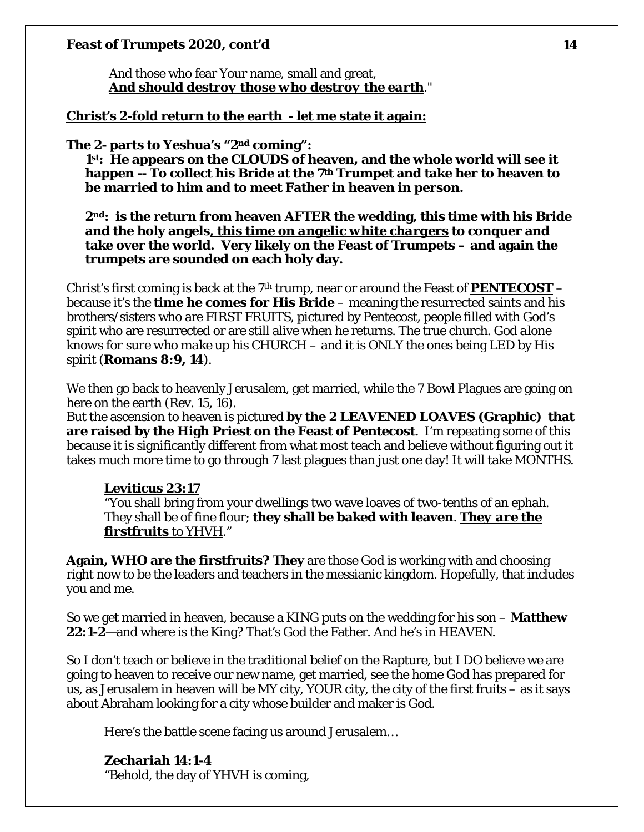And those who fear Your name, small and great, *And should destroy those who destroy the earth*."

### **Christ's 2-fold return to the earth - let me state it again:**

#### **The 2- parts to Yeshua's "2nd coming":**

**1st: He appears on the CLOUDS of heaven, and the whole world will see it happen -- To collect his Bride at the 7th Trumpet and take her to heaven to be married to him and to meet Father in heaven in person.** 

**2nd: is the return from heaven AFTER the wedding, this time with his Bride and the holy angels***, this time on angelic white chargers* **to conquer and take over the world. Very likely on the Feast of Trumpets – and again the trumpets are sounded on each holy day.** 

Christ's first coming is back at the  $7<sup>th</sup>$  trump, near or around the Feast of **PENTECOST** – because it's the **time he comes for His Bride** – meaning the resurrected saints and his brothers/sisters who are FIRST FRUITS, pictured by Pentecost, people filled with God's spirit who are resurrected or are still alive when he returns. The true church*. God alone knows for sure who make up his CHURCH* – and it is ONLY the ones being LED by His spirit (**Romans 8:9, 14**).

We then go back to heavenly Jerusalem, get married, while the 7 Bowl Plagues are going on here on the earth (Rev. 15, 16).

But the ascension to heaven is pictured **by the 2 LEAVENED LOAVES (Graphic) that are raised by the High Priest on the Feast of Pentecost**. I'm repeating some of this because it is significantly different from what most teach and believe without figuring out it takes much more time to go through 7 last plagues than just one day! It will take MONTHS.

#### **Leviticus 23:17**

"You shall bring from your dwellings two wave loaves of two-tenths of an ephah. They shall be of fine flour; **they shall be baked with leaven**. *They are the firstfruits to YHVH*."

**Again, WHO are the firstfruits? They** are those God is working with and choosing right now to be the leaders and teachers in the messianic kingdom. Hopefully, that includes you and me.

So we get married in heaven, because a KING puts on the wedding for his son – **Matthew 22:1-2**—and where is the King? That's God the Father. And he's in HEAVEN.

So I don't teach or believe in the traditional belief on the Rapture, but I DO believe we are going to heaven to receive our new name, get married, see the home God has prepared for us, as Jerusalem in heaven will be MY city, YOUR city, the city of the first fruits – as it says about Abraham looking for a city whose builder and maker is God.

Here's the battle scene facing us around Jerusalem…

#### **Zechariah 14:1-4** "Behold, the day of YHVH is coming,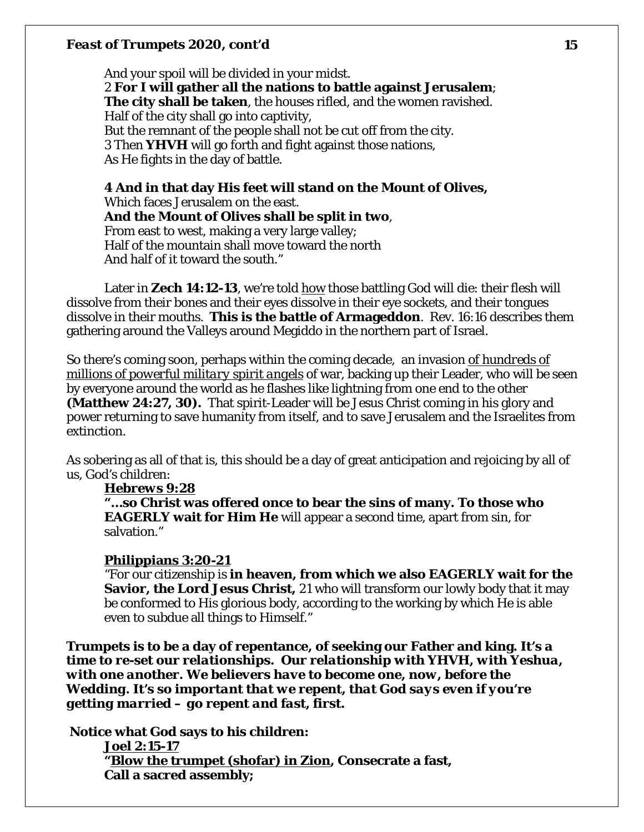And your spoil will be divided in your midst. 2 **For I will gather all the nations to battle against Jerusalem**; **The city shall be taken**, the houses rifled, and the women ravished. Half of the city shall go into captivity, But the remnant of the people shall not be cut off from the city. 3 Then **YHVH** will go forth and fight against those nations, As He fights in the day of battle.

**4 And in that day His feet will stand on the Mount of Olives,** Which faces Jerusalem on the east. **And the Mount of Olives shall be split in two**, From east to west, making a very large valley; Half of the mountain shall move toward the north And half of it toward the south."

Later in Zech 14:12-13, we're told how those battling God will die: their flesh will dissolve from their bones and their eyes dissolve in their eye sockets, and their tongues dissolve in their mouths. **This is the battle of Armageddon**. Rev. 16:16 describes them gathering around the Valleys around Megiddo in the northern part of Israel.

So there's coming soon, perhaps within the coming decade, an invasion *of hundreds of millions of powerful military spirit angels* of war, backing up their Leader, who will be seen by everyone around the world as he flashes like lightning from one end to the other **(Matthew 24:27, 30).** That spirit-Leader will be Jesus Christ coming in his glory and power returning to save humanity from itself, and to save Jerusalem and the Israelites from extinction.

As sobering as all of that is, this should be a day of great anticipation and rejoicing by all of us, God's children:

#### *Hebrews 9:28*

**"…so Christ was offered once to bear the sins of many. To those who EAGERLY wait for Him He** will appear a second time, apart from sin, for salvation."

#### **Philippians 3:20-21**

"For our citizenship is **in heaven, from which we also EAGERLY wait for the Savior, the Lord Jesus Christ,** 21 who will transform our lowly body that it may be conformed to His glorious body, according to the working by which He is able even to subdue all things to Himself."

**Trumpets is to be a day of repentance, of seeking our Father and king.** *It's a time to re-set our relationships. Our relationship with YHVH, with Yeshua, with one another. We believers have to become one, now, before the Wedding. It's so important that we repent, that God says even if you're getting married – go repent and fast, first.* 

**Notice what God says to his children: Joel 2:15-17 "Blow the trumpet (shofar) in Zion, Consecrate a fast, Call a sacred assembly;**